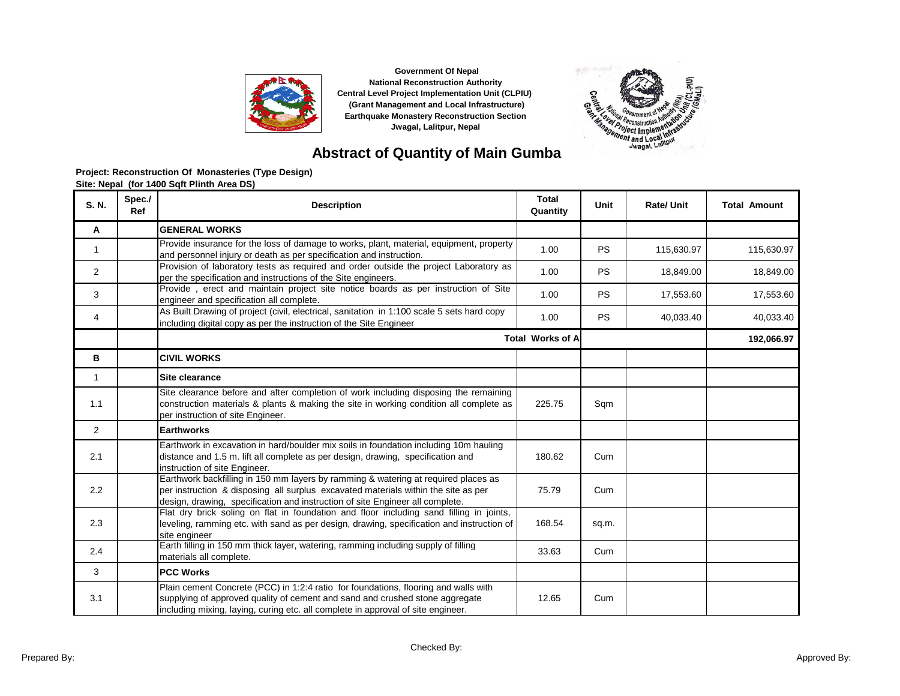



### **Abstract of Quantity of Main Gumba**

| S. N.          | Spec./<br>Ref | <b>Description</b>                                                                                                                                                                                                                                        | <b>Total</b><br>Quantity | Unit      | <b>Rate/ Unit</b> | <b>Total Amount</b> |
|----------------|---------------|-----------------------------------------------------------------------------------------------------------------------------------------------------------------------------------------------------------------------------------------------------------|--------------------------|-----------|-------------------|---------------------|
| A              |               | <b>GENERAL WORKS</b>                                                                                                                                                                                                                                      |                          |           |                   |                     |
| 1              |               | Provide insurance for the loss of damage to works, plant, material, equipment, property<br>and personnel injury or death as per specification and instruction.                                                                                            | 1.00                     | <b>PS</b> | 115,630.97        | 115,630.97          |
| $\overline{2}$ |               | Provision of laboratory tests as required and order outside the project Laboratory as<br>per the specification and instructions of the Site engineers.                                                                                                    | 1.00                     | <b>PS</b> | 18.849.00         | 18,849.00           |
| 3              |               | Provide, erect and maintain project site notice boards as per instruction of Site<br>engineer and specification all complete.                                                                                                                             | 1.00                     | <b>PS</b> | 17,553.60         | 17,553.60           |
| 4              |               | As Built Drawing of project (civil, electrical, sanitation in 1:100 scale 5 sets hard copy<br>including digital copy as per the instruction of the Site Engineer                                                                                          | 1.00                     | <b>PS</b> | 40,033.40         | 40,033.40           |
|                |               |                                                                                                                                                                                                                                                           | <b>Total Works of A</b>  |           |                   | 192,066.97          |
| в              |               | <b>CIVIL WORKS</b>                                                                                                                                                                                                                                        |                          |           |                   |                     |
| $\mathbf{1}$   |               | Site clearance                                                                                                                                                                                                                                            |                          |           |                   |                     |
| 1.1            |               | Site clearance before and after completion of work including disposing the remaining<br>construction materials & plants & making the site in working condition all complete as<br>per instruction of site Engineer.                                       | 225.75                   | Sqm       |                   |                     |
| $\overline{2}$ |               | <b>Earthworks</b>                                                                                                                                                                                                                                         |                          |           |                   |                     |
| 2.1            |               | Earthwork in excavation in hard/boulder mix soils in foundation including 10m hauling<br>distance and 1.5 m. lift all complete as per design, drawing, specification and<br>instruction of site Engineer.                                                 | 180.62                   | Cum       |                   |                     |
| 2.2            |               | Earthwork backfilling in 150 mm layers by ramming & watering at required places as<br>per instruction & disposing all surplus excavated materials within the site as per<br>design, drawing, specification and instruction of site Engineer all complete. | 75.79                    | Cum       |                   |                     |
| 2.3            |               | Flat dry brick soling on flat in foundation and floor including sand filling in joints,<br>leveling, ramming etc. with sand as per design, drawing, specification and instruction of<br>site engineer                                                     | 168.54                   | sq.m.     |                   |                     |
| 2.4            |               | Earth filling in 150 mm thick layer, watering, ramming including supply of filling<br>materials all complete.                                                                                                                                             | 33.63                    | Cum       |                   |                     |
| 3              |               | <b>PCC Works</b>                                                                                                                                                                                                                                          |                          |           |                   |                     |
| 3.1            |               | Plain cement Concrete (PCC) in 1:2:4 ratio for foundations, flooring and walls with<br>supplying of approved quality of cement and sand and crushed stone aggregate<br>including mixing, laying, curing etc. all complete in approval of site engineer.   | 12.65                    | Cum       |                   |                     |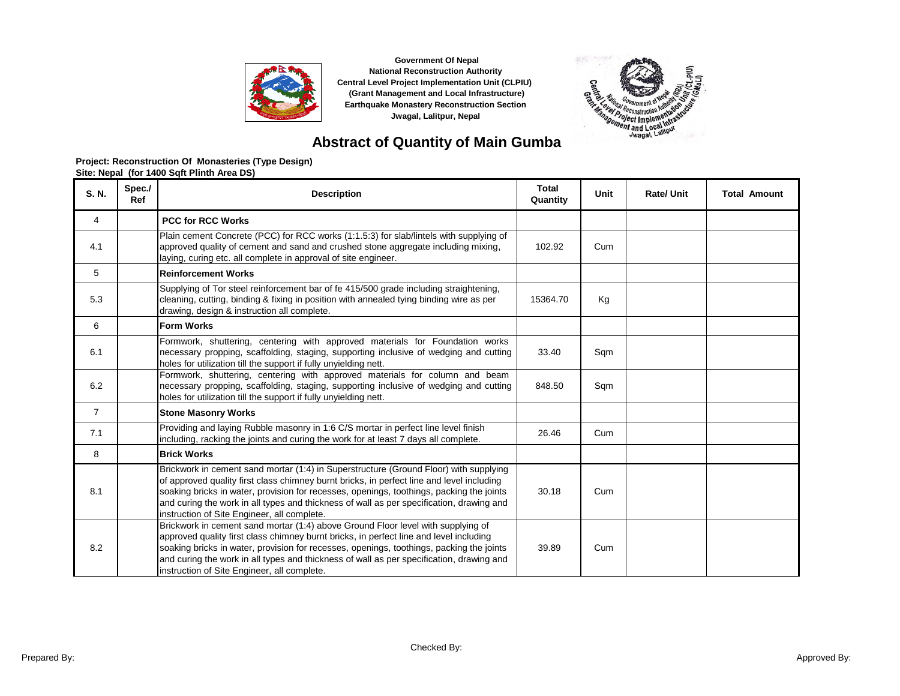



# **Abstract of Quantity of Main Gumba**

| S. N.          | Spec./<br>Ref | <b>Description</b>                                                                                                                                                                                                                                                                                                                                                                                                        | <b>Total</b><br>Quantity | Unit | <b>Rate/ Unit</b> | <b>Total Amount</b> |
|----------------|---------------|---------------------------------------------------------------------------------------------------------------------------------------------------------------------------------------------------------------------------------------------------------------------------------------------------------------------------------------------------------------------------------------------------------------------------|--------------------------|------|-------------------|---------------------|
| 4              |               | <b>PCC for RCC Works</b>                                                                                                                                                                                                                                                                                                                                                                                                  |                          |      |                   |                     |
| 4.1            |               | Plain cement Concrete (PCC) for RCC works (1:1.5:3) for slab/lintels with supplying of<br>approved quality of cement and sand and crushed stone aggregate including mixing,<br>laying, curing etc. all complete in approval of site engineer.                                                                                                                                                                             | 102.92                   | Cum  |                   |                     |
| 5              |               | <b>Reinforcement Works</b>                                                                                                                                                                                                                                                                                                                                                                                                |                          |      |                   |                     |
| 5.3            |               | Supplying of Tor steel reinforcement bar of fe 415/500 grade including straightening.<br>cleaning, cutting, binding & fixing in position with annealed tying binding wire as per<br>drawing, design & instruction all complete.                                                                                                                                                                                           | 15364.70                 | Kg   |                   |                     |
| 6              |               | <b>Form Works</b>                                                                                                                                                                                                                                                                                                                                                                                                         |                          |      |                   |                     |
| 6.1            |               | Formwork, shuttering, centering with approved materials for Foundation works<br>necessary propping, scaffolding, staging, supporting inclusive of wedging and cutting<br>holes for utilization till the support if fully unyielding nett.                                                                                                                                                                                 | 33.40                    | Sqm  |                   |                     |
| 6.2            |               | Formwork, shuttering, centering with approved materials for column and beam<br>necessary propping, scaffolding, staging, supporting inclusive of wedging and cutting<br>holes for utilization till the support if fully unyielding nett.                                                                                                                                                                                  | 848.50                   | Sqm  |                   |                     |
| $\overline{7}$ |               | <b>Stone Masonry Works</b>                                                                                                                                                                                                                                                                                                                                                                                                |                          |      |                   |                     |
| 7.1            |               | Providing and laying Rubble masonry in 1:6 C/S mortar in perfect line level finish<br>including, racking the joints and curing the work for at least 7 days all complete.                                                                                                                                                                                                                                                 | 26.46                    | Cum  |                   |                     |
| 8              |               | <b>Brick Works</b>                                                                                                                                                                                                                                                                                                                                                                                                        |                          |      |                   |                     |
| 8.1            |               | Brickwork in cement sand mortar (1:4) in Superstructure (Ground Floor) with supplying<br>of approved quality first class chimney burnt bricks, in perfect line and level including<br>soaking bricks in water, provision for recesses, openings, toothings, packing the joints<br>and curing the work in all types and thickness of wall as per specification, drawing and<br>instruction of Site Engineer, all complete. | 30.18                    | Cum  |                   |                     |
| 8.2            |               | Brickwork in cement sand mortar (1:4) above Ground Floor level with supplying of<br>approved quality first class chimney burnt bricks, in perfect line and level including<br>soaking bricks in water, provision for recesses, openings, toothings, packing the joints<br>and curing the work in all types and thickness of wall as per specification, drawing and<br>instruction of Site Engineer, all complete.         | 39.89                    | Cum  |                   |                     |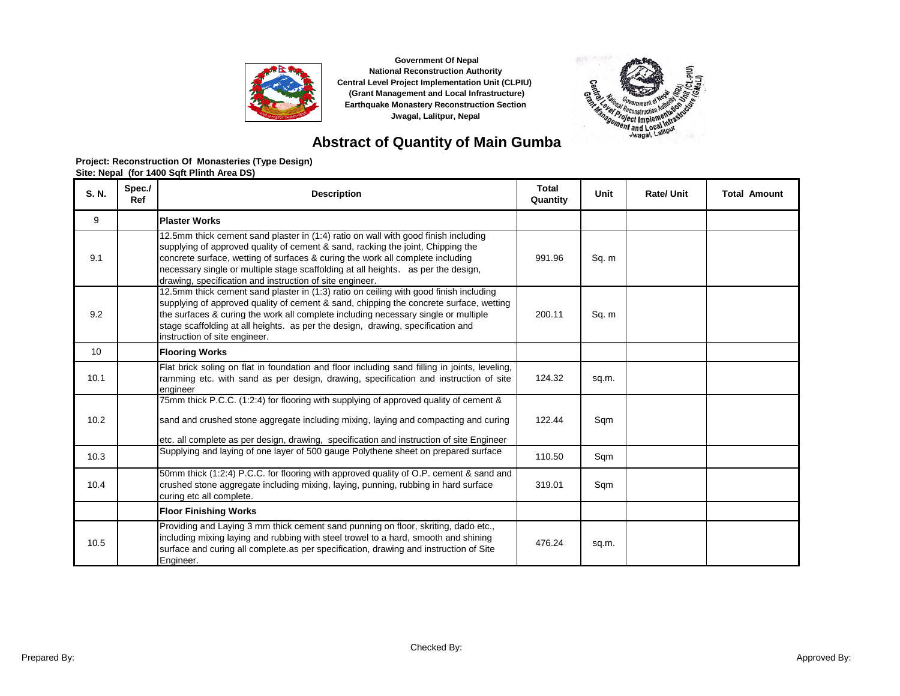



# **Abstract of Quantity of Main Gumba**

| S. N. | Spec./<br>Ref | <b>Description</b>                                                                                                                                                                                                                                                                                                                                                                                       | <b>Total</b><br>Quantity | Unit  | <b>Rate/ Unit</b> | <b>Total Amount</b> |
|-------|---------------|----------------------------------------------------------------------------------------------------------------------------------------------------------------------------------------------------------------------------------------------------------------------------------------------------------------------------------------------------------------------------------------------------------|--------------------------|-------|-------------------|---------------------|
| 9     |               | <b>Plaster Works</b>                                                                                                                                                                                                                                                                                                                                                                                     |                          |       |                   |                     |
| 9.1   |               | 12.5mm thick cement sand plaster in (1:4) ratio on wall with good finish including<br>supplying of approved quality of cement & sand, racking the joint, Chipping the<br>concrete surface, wetting of surfaces & curing the work all complete including<br>necessary single or multiple stage scaffolding at all heights. as per the design,<br>drawing, specification and instruction of site engineer. | 991.96                   | Sq. m |                   |                     |
| 9.2   |               | 12.5mm thick cement sand plaster in (1:3) ratio on ceiling with good finish including<br>supplying of approved quality of cement & sand, chipping the concrete surface, wetting<br>the surfaces & curing the work all complete including necessary single or multiple<br>stage scaffolding at all heights. as per the design, drawing, specification and<br>instruction of site engineer.                | 200.11                   | Sq. m |                   |                     |
| 10    |               | <b>Flooring Works</b>                                                                                                                                                                                                                                                                                                                                                                                    |                          |       |                   |                     |
| 10.1  |               | Flat brick soling on flat in foundation and floor including sand filling in joints, leveling,<br>ramming etc. with sand as per design, drawing, specification and instruction of site<br>engineer                                                                                                                                                                                                        | 124.32                   | sq.m. |                   |                     |
| 10.2  |               | 75mm thick P.C.C. (1:2:4) for flooring with supplying of approved quality of cement &<br>sand and crushed stone aggregate including mixing, laying and compacting and curing<br>etc. all complete as per design, drawing, specification and instruction of site Engineer                                                                                                                                 | 122.44                   | Sqm   |                   |                     |
| 10.3  |               | Supplying and laying of one layer of 500 gauge Polythene sheet on prepared surface                                                                                                                                                                                                                                                                                                                       | 110.50                   | Sqm   |                   |                     |
| 10.4  |               | 50mm thick (1:2:4) P.C.C. for flooring with approved quality of O.P. cement & sand and<br>crushed stone aggregate including mixing, laying, punning, rubbing in hard surface<br>curing etc all complete.                                                                                                                                                                                                 | 319.01                   | Sqm   |                   |                     |
|       |               | <b>Floor Finishing Works</b>                                                                                                                                                                                                                                                                                                                                                                             |                          |       |                   |                     |
| 10.5  |               | Providing and Laying 3 mm thick cement sand punning on floor, skriting, dado etc.,<br>including mixing laying and rubbing with steel trowel to a hard, smooth and shining<br>surface and curing all complete as per specification, drawing and instruction of Site<br>Engineer.                                                                                                                          | 476.24                   | sq.m. |                   |                     |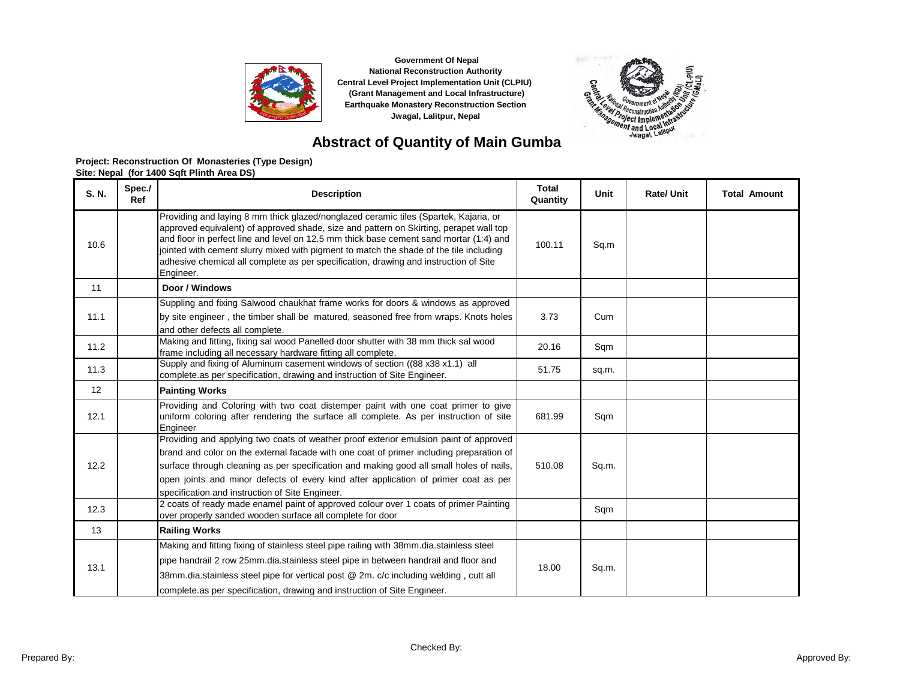



# **Abstract of Quantity of Main Gumba**

| S. N. | Spec./<br>Ref | <b>Description</b>                                                                                                                                                                                                                                                                                                                                                                                                                                                      | <b>Total</b><br>Quantity | Unit  | <b>Rate/ Unit</b> | <b>Total Amount</b> |
|-------|---------------|-------------------------------------------------------------------------------------------------------------------------------------------------------------------------------------------------------------------------------------------------------------------------------------------------------------------------------------------------------------------------------------------------------------------------------------------------------------------------|--------------------------|-------|-------------------|---------------------|
| 10.6  |               | Providing and laying 8 mm thick glazed/nonglazed ceramic tiles (Spartek, Kajaria, or<br>approved equivalent) of approved shade, size and pattern on Skirting, perapet wall top<br>and floor in perfect line and level on 12.5 mm thick base cement sand mortar (1:4) and<br>jointed with cement slurry mixed with pigment to match the shade of the tile including<br>adhesive chemical all complete as per specification, drawing and instruction of Site<br>Engineer. | 100.11                   | Sq.m  |                   |                     |
| 11    |               | Door / Windows                                                                                                                                                                                                                                                                                                                                                                                                                                                          |                          |       |                   |                     |
| 11.1  |               | Suppling and fixing Salwood chaukhat frame works for doors & windows as approved<br>by site engineer, the timber shall be matured, seasoned free from wraps. Knots holes<br>and other defects all complete.                                                                                                                                                                                                                                                             | 3.73                     | Cum   |                   |                     |
| 11.2  |               | Making and fitting, fixing sal wood Panelled door shutter with 38 mm thick sal wood<br>frame including all necessary hardware fitting all complete.                                                                                                                                                                                                                                                                                                                     | 20.16                    | Sqm   |                   |                     |
| 11.3  |               | Supply and fixing of Aluminum casement windows of section ((88 x38 x1.1) all<br>complete as per specification, drawing and instruction of Site Engineer.                                                                                                                                                                                                                                                                                                                | 51.75                    | sq.m. |                   |                     |
| 12    |               | <b>Painting Works</b>                                                                                                                                                                                                                                                                                                                                                                                                                                                   |                          |       |                   |                     |
| 12.1  |               | Providing and Coloring with two coat distemper paint with one coat primer to give<br>uniform coloring after rendering the surface all complete. As per instruction of site<br>Engineer                                                                                                                                                                                                                                                                                  | 681.99                   | Sqm   |                   |                     |
| 12.2  |               | Providing and applying two coats of weather proof exterior emulsion paint of approved<br>brand and color on the external facade with one coat of primer including preparation of<br>surface through cleaning as per specification and making good all small holes of nails,<br>open joints and minor defects of every kind after application of primer coat as per<br>specification and instruction of Site Engineer.                                                   | 510.08                   | Sq.m. |                   |                     |
| 12.3  |               | 2 coats of ready made enamel paint of approved colour over 1 coats of primer Painting<br>over properly sanded wooden surface all complete for door                                                                                                                                                                                                                                                                                                                      |                          | Sqm   |                   |                     |
| 13    |               | <b>Railing Works</b>                                                                                                                                                                                                                                                                                                                                                                                                                                                    |                          |       |                   |                     |
| 13.1  |               | Making and fitting fixing of stainless steel pipe railing with 38mm.dia.stainless steel<br>pipe handrail 2 row 25mm.dia.stainless steel pipe in between handrail and floor and<br>38mm.dia.stainless steel pipe for vertical post @ 2m. c/c including welding, cutt all<br>complete as per specification, drawing and instruction of Site Engineer.                                                                                                                     | 18.00                    | Sq.m. |                   |                     |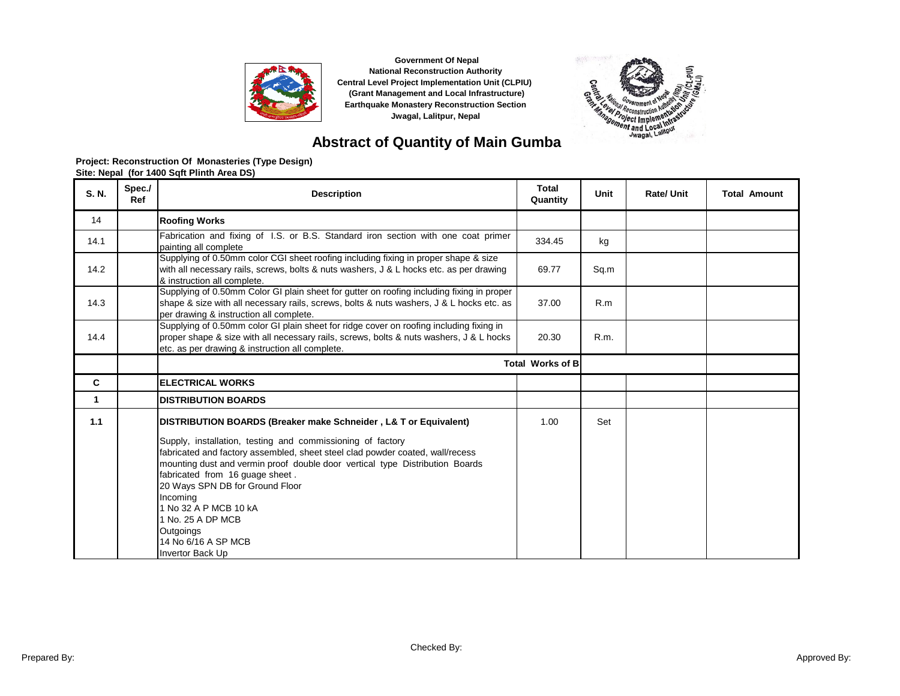



# **Abstract of Quantity of Main Gumba**

| S. N. | Spec./<br>Ref | <b>Description</b>                                                                                                                                                                                                                                                                                                                                                                                                                                                                      | <b>Total</b><br>Quantity | Unit | <b>Rate/Unit</b> | <b>Total Amount</b> |
|-------|---------------|-----------------------------------------------------------------------------------------------------------------------------------------------------------------------------------------------------------------------------------------------------------------------------------------------------------------------------------------------------------------------------------------------------------------------------------------------------------------------------------------|--------------------------|------|------------------|---------------------|
| 14    |               | <b>Roofing Works</b>                                                                                                                                                                                                                                                                                                                                                                                                                                                                    |                          |      |                  |                     |
| 14.1  |               | Fabrication and fixing of I.S. or B.S. Standard iron section with one coat primer<br>painting all complete                                                                                                                                                                                                                                                                                                                                                                              | 334.45                   | kg   |                  |                     |
| 14.2  |               | Supplying of 0.50mm color CGI sheet roofing including fixing in proper shape & size<br>with all necessary rails, screws, bolts & nuts washers, J & L hocks etc. as per drawing<br>& instruction all complete.                                                                                                                                                                                                                                                                           | 69.77                    | Sq.m |                  |                     |
| 14.3  |               | Supplying of 0.50mm Color GI plain sheet for gutter on roofing including fixing in proper<br>shape & size with all necessary rails, screws, bolts & nuts washers, J & L hocks etc. as<br>per drawing & instruction all complete.                                                                                                                                                                                                                                                        | 37.00                    | R.m  |                  |                     |
| 14.4  |               | Supplying of 0.50mm color GI plain sheet for ridge cover on roofing including fixing in<br>proper shape & size with all necessary rails, screws, bolts & nuts washers, J & L hocks<br>etc. as per drawing & instruction all complete.                                                                                                                                                                                                                                                   | 20.30                    | R.m. |                  |                     |
|       |               |                                                                                                                                                                                                                                                                                                                                                                                                                                                                                         | <b>Total Works of B</b>  |      |                  |                     |
| C     |               | <b>ELECTRICAL WORKS</b>                                                                                                                                                                                                                                                                                                                                                                                                                                                                 |                          |      |                  |                     |
| 1     |               | <b>DISTRIBUTION BOARDS</b>                                                                                                                                                                                                                                                                                                                                                                                                                                                              |                          |      |                  |                     |
| 1.1   |               | DISTRIBUTION BOARDS (Breaker make Schneider, L& T or Equivalent)<br>Supply, installation, testing and commissioning of factory<br>fabricated and factory assembled, sheet steel clad powder coated, wall/recess<br>mounting dust and vermin proof double door vertical type Distribution Boards<br>fabricated from 16 guage sheet.<br>20 Ways SPN DB for Ground Floor<br>Incomina<br>1 No 32 A P MCB 10 kA<br>1 No. 25 A DP MCB<br>Outgoings<br>14 No 6/16 A SP MCB<br>Invertor Back Up | 1.00                     | Set  |                  |                     |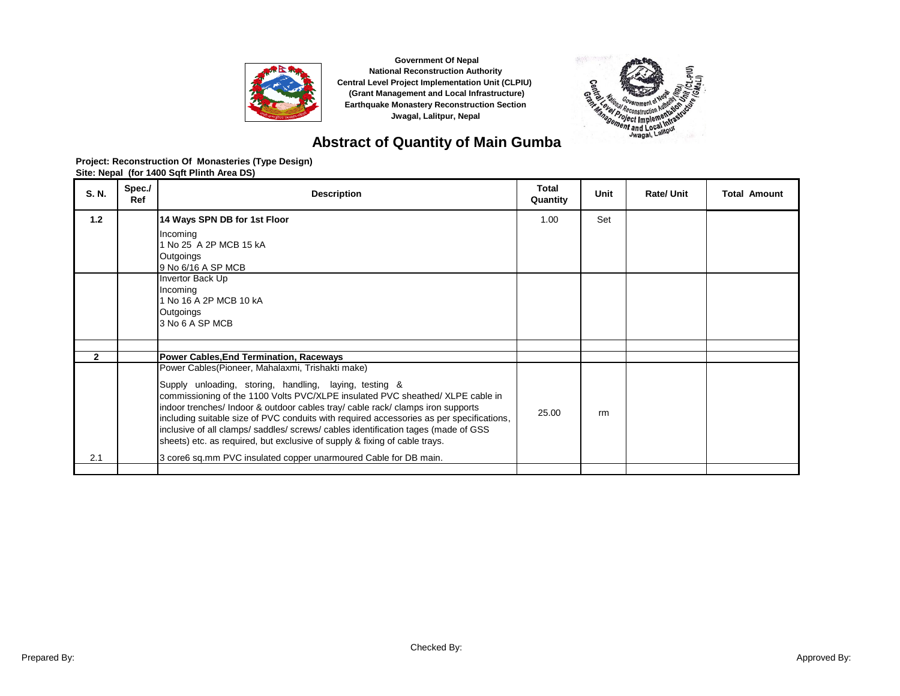



# **Abstract of Quantity of Main Gumba**

| S. N.          | Spec./<br>Ref | <b>Description</b>                                                                                                                                                                                                                                                                                                                                                                                                                                                                                                                                                                                                 | <b>Total</b><br>Quantity | Unit | <b>Rate/Unit</b> | <b>Total Amount</b> |
|----------------|---------------|--------------------------------------------------------------------------------------------------------------------------------------------------------------------------------------------------------------------------------------------------------------------------------------------------------------------------------------------------------------------------------------------------------------------------------------------------------------------------------------------------------------------------------------------------------------------------------------------------------------------|--------------------------|------|------------------|---------------------|
| 1.2            |               | 14 Ways SPN DB for 1st Floor<br>Incoming<br>1 No 25 A 2P MCB 15 kA<br>Outgoings<br>9 No 6/16 A SP MCB<br>Invertor Back Up<br>Incoming<br>1 No 16 A 2P MCB 10 kA<br>Outgoings                                                                                                                                                                                                                                                                                                                                                                                                                                       | 1.00                     | Set  |                  |                     |
|                |               | 3 No 6 A SP MCB                                                                                                                                                                                                                                                                                                                                                                                                                                                                                                                                                                                                    |                          |      |                  |                     |
| $\overline{2}$ |               | <b>Power Cables, End Termination, Raceways</b>                                                                                                                                                                                                                                                                                                                                                                                                                                                                                                                                                                     |                          |      |                  |                     |
| 2.1            |               | Power Cables (Pioneer, Mahalaxmi, Trishakti make)<br>Supply unloading, storing, handling, laying, testing &<br>commissioning of the 1100 Volts PVC/XLPE insulated PVC sheathed/ XLPE cable in<br>indoor trenches/ Indoor & outdoor cables tray/ cable rack/ clamps iron supports<br>including suitable size of PVC conduits with required accessories as per specifications,<br>inclusive of all clamps/saddles/screws/cables identification tages (made of GSS)<br>sheets) etc. as required, but exclusive of supply & fixing of cable trays.<br>3 core6 sq.mm PVC insulated copper unarmoured Cable for DB main. | 25.00                    | rm   |                  |                     |
|                |               |                                                                                                                                                                                                                                                                                                                                                                                                                                                                                                                                                                                                                    |                          |      |                  |                     |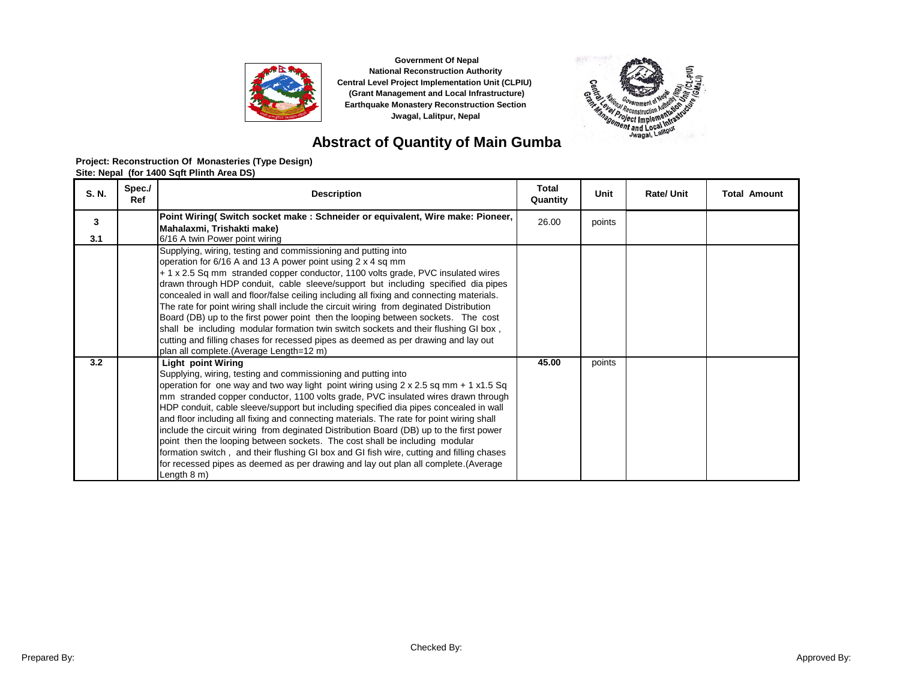



# **Abstract of Quantity of Main Gumba**

| S. N. | Spec./<br>Ref | <b>Description</b>                                                                                                                                                                                                                                                                                                                                                                                                                                                                                                                                                                                                                                                                                                                                                                                                                       | <b>Total</b><br>Quantity | Unit   | <b>Rate/ Unit</b> | <b>Total Amount</b> |
|-------|---------------|------------------------------------------------------------------------------------------------------------------------------------------------------------------------------------------------------------------------------------------------------------------------------------------------------------------------------------------------------------------------------------------------------------------------------------------------------------------------------------------------------------------------------------------------------------------------------------------------------------------------------------------------------------------------------------------------------------------------------------------------------------------------------------------------------------------------------------------|--------------------------|--------|-------------------|---------------------|
| 3     |               | Point Wiring( Switch socket make: Schneider or equivalent, Wire make: Pioneer,<br>Mahalaxmi, Trishakti make)                                                                                                                                                                                                                                                                                                                                                                                                                                                                                                                                                                                                                                                                                                                             | 26.00                    | points |                   |                     |
| 3.1   |               | 6/16 A twin Power point wiring                                                                                                                                                                                                                                                                                                                                                                                                                                                                                                                                                                                                                                                                                                                                                                                                           |                          |        |                   |                     |
|       |               | Supplying, wiring, testing and commissioning and putting into<br>operation for 6/16 A and 13 A power point using 2 x 4 sq mm<br>+ 1 x 2.5 Sq mm stranded copper conductor, 1100 volts grade, PVC insulated wires<br>drawn through HDP conduit, cable sleeve/support but including specified dia pipes<br>concealed in wall and floor/false ceiling including all fixing and connecting materials.<br>The rate for point wiring shall include the circuit wiring from deginated Distribution<br>Board (DB) up to the first power point then the looping between sockets. The cost<br>shall be including modular formation twin switch sockets and their flushing GI box,<br>cutting and filling chases for recessed pipes as deemed as per drawing and lay out<br>plan all complete.(Average Length=12 m)                                 |                          |        |                   |                     |
| 3.2   |               | Light point Wiring<br>Supplying, wiring, testing and commissioning and putting into<br>operation for one way and two way light point wiring using $2 \times 2.5$ sq mm + 1 x1.5 Sq<br>mm stranded copper conductor, 1100 volts grade, PVC insulated wires drawn through<br>HDP conduit, cable sleeve/support but including specified dia pipes concealed in wall<br>and floor including all fixing and connecting materials. The rate for point wiring shall<br>include the circuit wiring from deginated Distribution Board (DB) up to the first power<br>point then the looping between sockets. The cost shall be including modular<br>formation switch, and their flushing GI box and GI fish wire, cutting and filling chases<br>for recessed pipes as deemed as per drawing and lay out plan all complete. (Average<br>Length 8 m) | 45.00                    | points |                   |                     |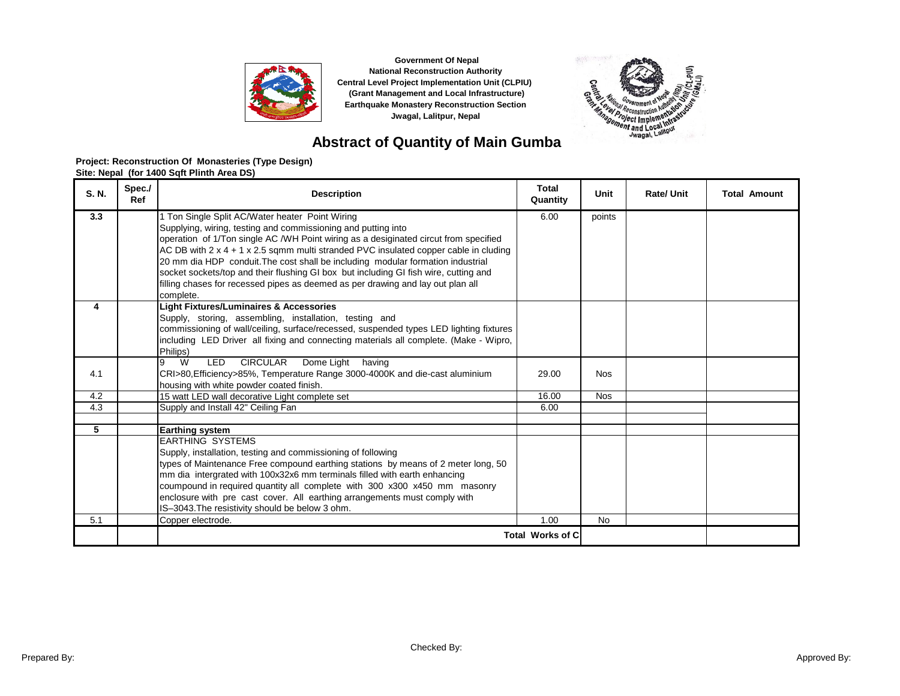



# **Abstract of Quantity of Main Gumba**

| S. N. | Spec./<br>Ref | <b>Description</b>                                                                                                                                                                                                                                                                                                                                                                                                                                                                                                                                                                      | <b>Total</b><br>Quantity | Unit       | <b>Rate/ Unit</b> | <b>Total Amount</b> |
|-------|---------------|-----------------------------------------------------------------------------------------------------------------------------------------------------------------------------------------------------------------------------------------------------------------------------------------------------------------------------------------------------------------------------------------------------------------------------------------------------------------------------------------------------------------------------------------------------------------------------------------|--------------------------|------------|-------------------|---------------------|
| 3.3   |               | 1 Ton Single Split AC/Water heater Point Wiring<br>Supplying, wiring, testing and commissioning and putting into<br>operation of 1/Ton single AC /WH Point wiring as a desiginated circut from specified<br>AC DB with $2 \times 4 + 1 \times 2.5$ sqmm multi stranded PVC insulated copper cable in cluding<br>20 mm dia HDP conduit. The cost shall be including modular formation industrial<br>socket sockets/top and their flushing GI box but including GI fish wire, cutting and<br>filling chases for recessed pipes as deemed as per drawing and lay out plan all<br>complete. | 6.00                     | points     |                   |                     |
| 4     |               | <b>Light Fixtures/Luminaires &amp; Accessories</b><br>Supply, storing, assembling, installation, testing and<br>commissioning of wall/ceiling, surface/recessed, suspended types LED lighting fixtures<br>including LED Driver all fixing and connecting materials all complete. (Make - Wipro,<br>Philips)                                                                                                                                                                                                                                                                             |                          |            |                   |                     |
| 4.1   |               | <b>CIRCULAR</b><br><b>LED</b><br>Dome Light having<br>W<br>9<br>CRI>80, Efficiency>85%, Temperature Range 3000-4000K and die-cast aluminium<br>housing with white powder coated finish.                                                                                                                                                                                                                                                                                                                                                                                                 | 29.00                    | <b>Nos</b> |                   |                     |
| 4.2   |               | 15 watt LED wall decorative Light complete set                                                                                                                                                                                                                                                                                                                                                                                                                                                                                                                                          | 16.00                    | <b>Nos</b> |                   |                     |
| 4.3   |               | Supply and Install 42" Ceiling Fan                                                                                                                                                                                                                                                                                                                                                                                                                                                                                                                                                      | 6.00                     |            |                   |                     |
| 5     |               | <b>Earthing system</b><br><b>EARTHING SYSTEMS</b><br>Supply, installation, testing and commissioning of following<br>types of Maintenance Free compound earthing stations by means of 2 meter long, 50<br>mm dia intergrated with 100x32x6 mm terminals filled with earth enhancing<br>coumpound in required quantity all complete with 300 x300 x450 mm masonry<br>enclosure with pre cast cover. All earthing arrangements must comply with<br>IS-3043. The resistivity should be below 3 ohm.                                                                                        |                          |            |                   |                     |
| 5.1   |               | Copper electrode.                                                                                                                                                                                                                                                                                                                                                                                                                                                                                                                                                                       | 1.00                     | <b>No</b>  |                   |                     |
|       |               |                                                                                                                                                                                                                                                                                                                                                                                                                                                                                                                                                                                         | <b>Total Works of C</b>  |            |                   |                     |